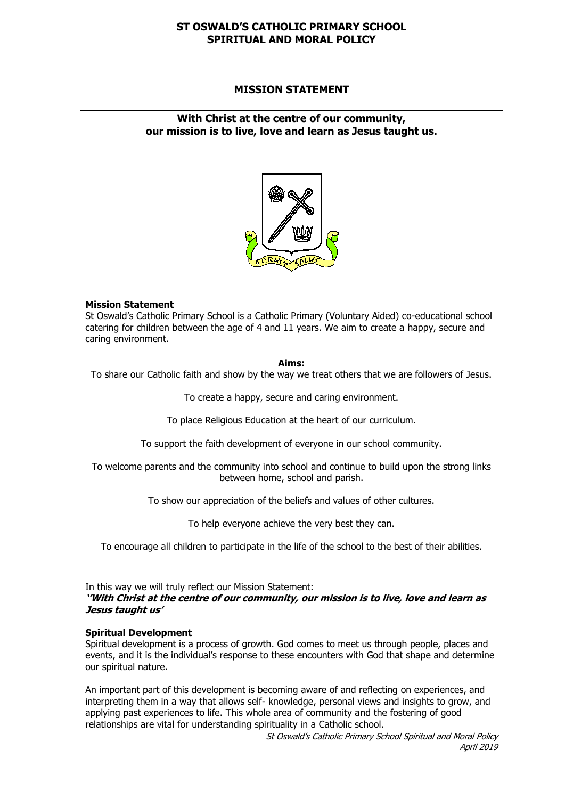# **ST OSWALD'S CATHOLIC PRIMARY SCHOOL SPIRITUAL AND MORAL POLICY**

# **MISSION STATEMENT**

# **With Christ at the centre of our community, our mission is to live, love and learn as Jesus taught us.**



#### **Mission Statement**

St Oswald's Catholic Primary School is a Catholic Primary (Voluntary Aided) co-educational school catering for children between the age of 4 and 11 years. We aim to create a happy, secure and caring environment.

#### **Aims:**

To share our Catholic faith and show by the way we treat others that we are followers of Jesus.

To create a happy, secure and caring environment.

To place Religious Education at the heart of our curriculum.

To support the faith development of everyone in our school community.

To welcome parents and the community into school and continue to build upon the strong links between home, school and parish.

To show our appreciation of the beliefs and values of other cultures.

To help everyone achieve the very best they can.

To encourage all children to participate in the life of the school to the best of their abilities.

In this way we will truly reflect our Mission Statement:

#### **''With Christ at the centre of our community, our mission is to live, love and learn as Jesus taught us'**

#### **Spiritual Development**

Spiritual development is a process of growth. God comes to meet us through people, places and events, and it is the individual's response to these encounters with God that shape and determine our spiritual nature.

An important part of this development is becoming aware of and reflecting on experiences, and interpreting them in a way that allows self- knowledge, personal views and insights to grow, and applying past experiences to life. This whole area of community and the fostering of good relationships are vital for understanding spirituality in a Catholic school.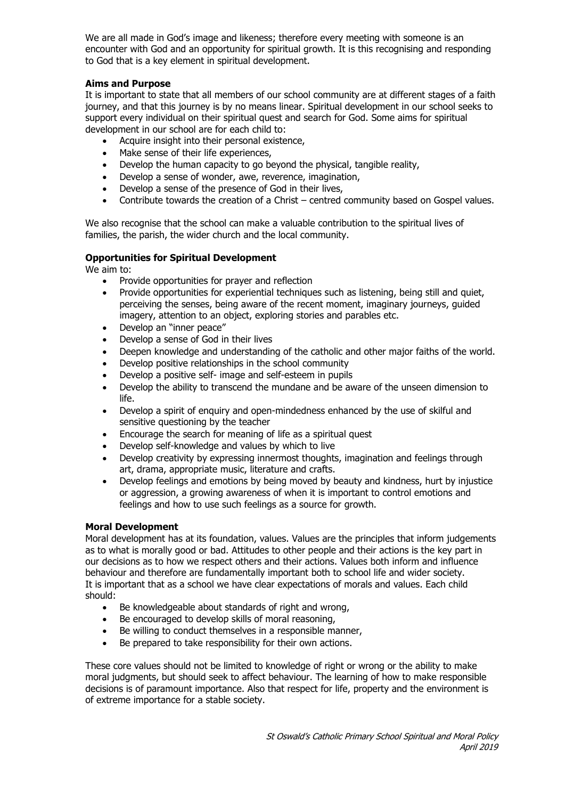We are all made in God's image and likeness; therefore every meeting with someone is an encounter with God and an opportunity for spiritual growth. It is this recognising and responding to God that is a key element in spiritual development.

# **Aims and Purpose**

It is important to state that all members of our school community are at different stages of a faith journey, and that this journey is by no means linear. Spiritual development in our school seeks to support every individual on their spiritual quest and search for God. Some aims for spiritual development in our school are for each child to:

- Acquire insight into their personal existence,
- Make sense of their life experiences,
- Develop the human capacity to go beyond the physical, tangible reality,
- Develop a sense of wonder, awe, reverence, imagination,
- Develop a sense of the presence of God in their lives,
- Contribute towards the creation of a Christ centred community based on Gospel values.

We also recognise that the school can make a valuable contribution to the spiritual lives of families, the parish, the wider church and the local community.

#### **Opportunities for Spiritual Development**

We aim to:

- Provide opportunities for prayer and reflection
- Provide opportunities for experiential techniques such as listening, being still and quiet, perceiving the senses, being aware of the recent moment, imaginary journeys, guided imagery, attention to an object, exploring stories and parables etc.
- Develop an "inner peace"
- Develop a sense of God in their lives
- Deepen knowledge and understanding of the catholic and other major faiths of the world.
- Develop positive relationships in the school community
- Develop a positive self- image and self-esteem in pupils
- Develop the ability to transcend the mundane and be aware of the unseen dimension to life.
- Develop a spirit of enquiry and open-mindedness enhanced by the use of skilful and sensitive questioning by the teacher
- Encourage the search for meaning of life as a spiritual quest
- Develop self-knowledge and values by which to live
- Develop creativity by expressing innermost thoughts, imagination and feelings through art, drama, appropriate music, literature and crafts.
- Develop feelings and emotions by being moved by beauty and kindness, hurt by injustice or aggression, a growing awareness of when it is important to control emotions and feelings and how to use such feelings as a source for growth.

#### **Moral Development**

Moral development has at its foundation, values. Values are the principles that inform judgements as to what is morally good or bad. Attitudes to other people and their actions is the key part in our decisions as to how we respect others and their actions. Values both inform and influence behaviour and therefore are fundamentally important both to school life and wider society. It is important that as a school we have clear expectations of morals and values. Each child should:

- Be knowledgeable about standards of right and wrong,
- Be encouraged to develop skills of moral reasoning,
- Be willing to conduct themselves in a responsible manner,
- Be prepared to take responsibility for their own actions.

These core values should not be limited to knowledge of right or wrong or the ability to make moral judgments, but should seek to affect behaviour. The learning of how to make responsible decisions is of paramount importance. Also that respect for life, property and the environment is of extreme importance for a stable society.